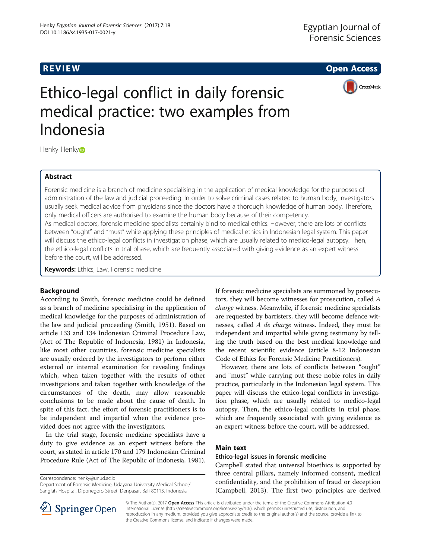**REVIEW CONSTRUCTION CONSTRUCTION CONSTRUCTS** 

CrossMark



Henky Henky<sub>D</sub>

Indonesia

# Abstract

Forensic medicine is a branch of medicine specialising in the application of medical knowledge for the purposes of administration of the law and judicial proceeding. In order to solve criminal cases related to human body, investigators usually seek medical advice from physicians since the doctors have a thorough knowledge of human body. Therefore, only medical officers are authorised to examine the human body because of their competency. As medical doctors, forensic medicine specialists certainly bind to medical ethics. However, there are lots of conflicts between "ought" and "must" while applying these principles of medical ethics in Indonesian legal system. This paper will discuss the ethico-legal conflicts in investigation phase, which are usually related to medico-legal autopsy. Then, the ethico-legal conflicts in trial phase, which are frequently associated with giving evidence as an expert witness before the court, will be addressed.

Keywords: Ethics, Law, Forensic medicine

## Background

According to Smith, forensic medicine could be defined as a branch of medicine specialising in the application of medical knowledge for the purposes of administration of the law and judicial proceeding (Smith, [1951\)](#page-2-0). Based on article 133 and 134 Indonesian Criminal Procedure Law, (Act of The Republic of Indonesia, [1981\)](#page-2-0) in Indonesia, like most other countries, forensic medicine specialists are usually ordered by the investigators to perform either external or internal examination for revealing findings which, when taken together with the results of other investigations and taken together with knowledge of the circumstances of the death, may allow reasonable conclusions to be made about the cause of death. In spite of this fact, the effort of forensic practitioners is to be independent and impartial when the evidence provided does not agree with the investigators.

In the trial stage, forensic medicine specialists have a duty to give evidence as an expert witness before the court, as stated in article 170 and 179 Indonesian Criminal Procedure Rule (Act of The Republic of Indonesia, [1981](#page-2-0)).

Correspondence: [henky@unud.ac.id](mailto:henky@unud.ac.id)

Department of Forensic Medicine, Udayana University Medical School/ Sanglah Hospital, Diponegoro Street, Denpasar, Bali 80113, Indonesia

If forensic medicine specialists are summoned by prosecutors, they will become witnesses for prosecution, called A charge witness. Meanwhile, if forensic medicine specialists are requested by barristers, they will become defence witnesses, called A de charge witness. Indeed, they must be independent and impartial while giving testimony by telling the truth based on the best medical knowledge and the recent scientific evidence (article 8-12 Indonesian Code of Ethics for Forensic Medicine Practitioners).

However, there are lots of conflicts between "ought" and "must" while carrying out these noble roles in daily practice, particularly in the Indonesian legal system. This paper will discuss the ethico-legal conflicts in investigation phase, which are usually related to medico-legal autopsy. Then, the ethico-legal conflicts in trial phase, which are frequently associated with giving evidence as an expert witness before the court, will be addressed.

## Main text

## Ethico-legal issues in forensic medicine

Campbell stated that universal bioethics is supported by three central pillars, namely informed consent, medical confidentiality, and the prohibition of fraud or deception (Campbell, [2013\)](#page-2-0). The first two principles are derived



© The Author(s). 2017 Open Access This article is distributed under the terms of the Creative Commons Attribution 4.0 International License ([http://creativecommons.org/licenses/by/4.0/\)](http://creativecommons.org/licenses/by/4.0/), which permits unrestricted use, distribution, and reproduction in any medium, provided you give appropriate credit to the original author(s) and the source, provide a link to the Creative Commons license, and indicate if changes were made.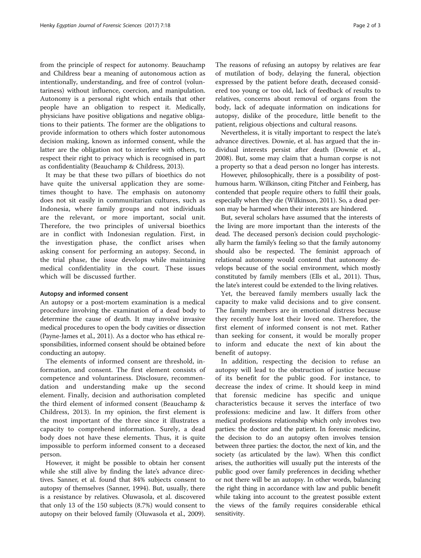from the principle of respect for autonomy. Beauchamp and Childress bear a meaning of autonomous action as intentionally, understanding, and free of control (voluntariness) without influence, coercion, and manipulation. Autonomy is a personal right which entails that other people have an obligation to respect it. Medically, physicians have positive obligations and negative obligations to their patients. The former are the obligations to provide information to others which foster autonomous decision making, known as informed consent, while the latter are the obligation not to interfere with others, to respect their right to privacy which is recognised in part as confidentiality (Beauchamp & Childress, [2013\)](#page-2-0).

It may be that these two pillars of bioethics do not have quite the universal application they are sometimes thought to have. The emphasis on autonomy does not sit easily in communitarian cultures, such as Indonesia, where family groups and not individuals are the relevant, or more important, social unit. Therefore, the two principles of universal bioethics are in conflict with Indonesian regulation. First, in the investigation phase, the conflict arises when asking consent for performing an autopsy. Second, in the trial phase, the issue develops while maintaining medical confidentiality in the court. These issues which will be discussed further.

#### Autopsy and informed consent

An autopsy or a post-mortem examination is a medical procedure involving the examination of a dead body to determine the cause of death. It may involve invasive medical procedures to open the body cavities or dissection (Payne-James et al., [2011](#page-2-0)). As a doctor who has ethical responsibilities, informed consent should be obtained before conducting an autopsy.

The elements of informed consent are threshold, information, and consent. The first element consists of competence and voluntariness. Disclosure, recommendation and understanding make up the second element. Finally, decision and authorisation completed the third element of informed consent (Beauchamp & Childress, [2013](#page-2-0)). In my opinion, the first element is the most important of the three since it illustrates a capacity to comprehend information. Surely, a dead body does not have these elements. Thus, it is quite impossible to perform informed consent to a deceased person.

However, it might be possible to obtain her consent while she still alive by finding the late's advance directives. Sanner, et al. found that 84% subjects consent to autopsy of themselves (Sanner, [1994\)](#page-2-0). But, usually, there is a resistance by relatives. Oluwasola, et al. discovered that only 13 of the 150 subjects (8.7%) would consent to autopsy on their beloved family (Oluwasola et al., [2009](#page-2-0)).

The reasons of refusing an autopsy by relatives are fear of mutilation of body, delaying the funeral, objection expressed by the patient before death, deceased considered too young or too old, lack of feedback of results to relatives, concerns about removal of organs from the body, lack of adequate information on indications for autopsy, dislike of the procedure, little benefit to the patient, religious objections and cultural reasons.

Nevertheless, it is vitally important to respect the late's advance directives. Downie, et al. has argued that the individual interests persist after death (Downie et al., [2008](#page-2-0)). But, some may claim that a human corpse is not a property so that a dead person no longer has interests.

However, philosophically, there is a possibility of posthumous harm. Wilkinson, citing Pitcher and Feinberg, has contended that people require others to fulfil their goals, especially when they die (Wilkinson, [2011\)](#page-2-0). So, a dead person may be harmed when their interests are hindered.

But, several scholars have assumed that the interests of the living are more important than the interests of the dead. The deceased person's decision could psychologically harm the family's feeling so that the family autonomy should also be respected. The feminist approach of relational autonomy would contend that autonomy develops because of the social environment, which mostly constituted by family members (Ells et al., [2011](#page-2-0)). Thus, the late's interest could be extended to the living relatives.

Yet, the bereaved family members usually lack the capacity to make valid decisions and to give consent. The family members are in emotional distress because they recently have lost their loved one. Therefore, the first element of informed consent is not met. Rather than seeking for consent, it would be morally proper to inform and educate the next of kin about the benefit of autopsy.

In addition, respecting the decision to refuse an autopsy will lead to the obstruction of justice because of its benefit for the public good. For instance, to decrease the index of crime. It should keep in mind that forensic medicine has specific and unique characteristics because it serves the interface of two professions: medicine and law. It differs from other medical professions relationship which only involves two parties: the doctor and the patient. In forensic medicine, the decision to do an autopsy often involves tension between three parties: the doctor, the next of kin, and the society (as articulated by the law). When this conflict arises, the authorities will usually put the interests of the public good over family preferences in deciding whether or not there will be an autopsy. In other words, balancing the right thing in accordance with law and public benefit while taking into account to the greatest possible extent the views of the family requires considerable ethical sensitivity.